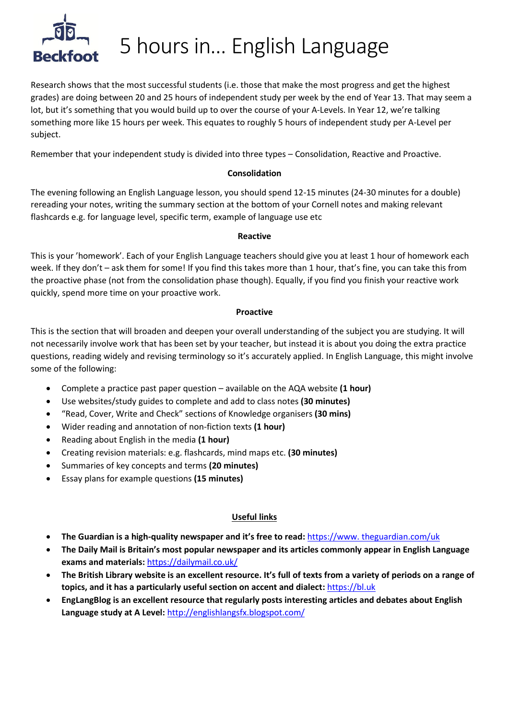

# 5 hours in… English Language

Research shows that the most successful students (i.e. those that make the most progress and get the highest grades) are doing between 20 and 25 hours of independent study per week by the end of Year 13. That may seem a lot, but it's something that you would build up to over the course of your A-Levels. In Year 12, we're talking something more like 15 hours per week. This equates to roughly 5 hours of independent study per A-Level per subject.

Remember that your independent study is divided into three types – Consolidation, Reactive and Proactive.

## **Consolidation**

The evening following an English Language lesson, you should spend 12-15 minutes (24-30 minutes for a double) rereading your notes, writing the summary section at the bottom of your Cornell notes and making relevant flashcards e.g. for language level, specific term, example of language use etc

#### **Reactive**

This is your 'homework'. Each of your English Language teachers should give you at least 1 hour of homework each week. If they don't – ask them for some! If you find this takes more than 1 hour, that's fine, you can take this from the proactive phase (not from the consolidation phase though). Equally, if you find you finish your reactive work quickly, spend more time on your proactive work.

## **Proactive**

This is the section that will broaden and deepen your overall understanding of the subject you are studying. It will not necessarily involve work that has been set by your teacher, but instead it is about you doing the extra practice questions, reading widely and revising terminology so it's accurately applied. In English Language, this might involve some of the following:

- Complete a practice past paper question available on the AQA website **(1 hour)**
- Use websites/study guides to complete and add to class notes **(30 minutes)**
- "Read, Cover, Write and Check" sections of Knowledge organisers **(30 mins)**
- Wider reading and annotation of non-fiction texts **(1 hour)**
- Reading about English in the media **(1 hour)**
- Creating revision materials: e.g. flashcards, mind maps etc. **(30 minutes)**
- Summaries of key concepts and terms **(20 minutes)**
- Essay plans for example questions **(15 minutes)**

# **Useful links**

- **The Guardian is a high-quality newspaper and it's free to read:** https://www. theguardian.com/uk
- **The Daily Mail is Britain's most popular newspaper and its articles commonly appear in English Language exams and materials:** <https://dailymail.co.uk/>
- **The British Library website is an excellent resource. It's full of texts from a variety of periods on a range of topics, and it has a particularly useful section on accent and dialect:** [https://bl.uk](https://bl.uk/)
- **EngLangBlog is an excellent resource that regularly posts interesting articles and debates about English Language study at A Level:** http://englishlangsfx.blogspot.com/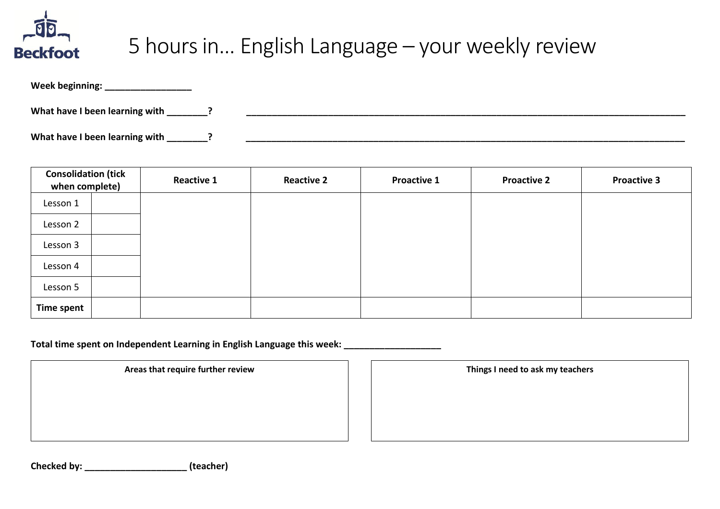

# 5 hours in… English Language – your weekly review

| Week beginning:                |  |
|--------------------------------|--|
| What have I been learning with |  |
| What have I been learning with |  |

| <b>Consolidation (tick</b><br>when complete) | <b>Reactive 1</b> | <b>Reactive 2</b> | <b>Proactive 1</b> | <b>Proactive 2</b> | <b>Proactive 3</b> |
|----------------------------------------------|-------------------|-------------------|--------------------|--------------------|--------------------|
| Lesson 1                                     |                   |                   |                    |                    |                    |
| Lesson 2                                     |                   |                   |                    |                    |                    |
| Lesson 3                                     |                   |                   |                    |                    |                    |
| Lesson 4                                     |                   |                   |                    |                    |                    |
| Lesson 5                                     |                   |                   |                    |                    |                    |
| <b>Time spent</b>                            |                   |                   |                    |                    |                    |

Total time spent on Independent Learning in English Language this week:

Areas that require further review **Things I need to ask my teachers** 

**Checked by: \_\_\_\_\_\_\_\_\_\_\_\_\_\_\_\_\_\_\_\_ (teacher)**